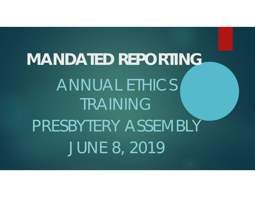**MANDATED REPORTING** ANNUAL ETHICS TRAININGPRESBYTERY ASSEMBLY JUNE 8, 2019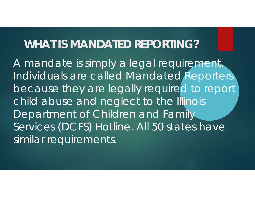### **WHAT IS MANDATED REPORTING?**

A mandate is simply a legal requirement. Individuals are called Mandated Reporters because they are legally required to report child abuse and neglect to the Illinois Department of Children and Family Services (DCFS) Hotline. All 50 states have similar requirements.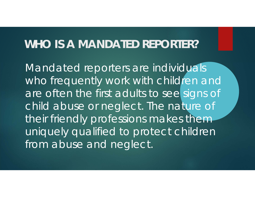### **WHO IS A MANDATED REPORTER?**

Mandated reporters are individuals who frequently work with children and are often the first adults to see signs of child abuse or neglect. The nature of their friendly professions makes them uniquely qualified to protect children from abuse and neglect.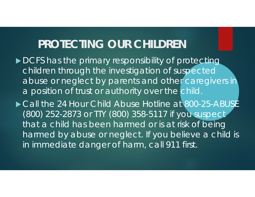### **PROTECTING OUR CHILDREN**

- DCFS has the primary responsibility of protecting children through the investigation of suspected abuse or neglect by parents and other caregivers in a position of trust or authority over the child.
- ▶ Call the 24 Hour Child Abuse Hotline at 800-25-ABUSE (800) 252-2873 or TTY (800) 358-5117 if you suspect that a child has been harmed or is at risk of being harmed by abuse or neglect. If you believe a child is in immediate danger of harm, call 911 first.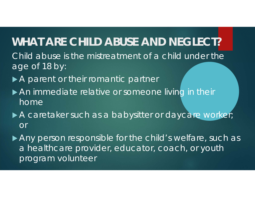### **WHAT ARE CHILD ABUSE AND NEGLECT?**

- Child abuse is the mistreatment of a child under the age of 18 by:
- ▶ A parent or their romantic partner
- An immediate relative or someone living in their home
- A caretaker such as a babysitter or daycare worker; or

Any person responsible for the child's welfare, such as a healthcare provider, educator, coach, or youth program volunteer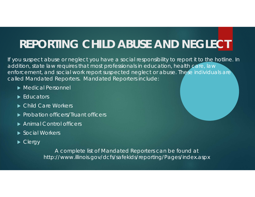# **REPORTING CHILD ABUSE AND NEGLECT**

If you suspect abuse or neglect you have a social responsibility to report it to the hotline. In addition, state law requires that most professionals in education, health care, law enforcement, and social work report suspected neglect or abuse. These individuals are called Mandated Reporters. Mandated Reporters include:

- Medical Personnel
- ▶ Educators
- ▶ Child Care Workers
- **Probation officers/Truant officers**
- ▶ Animal Control officers
- ▶ Social Workers
- ▶ Clergy

A complete list of Mandated Reporters can be found at http://www.illinois.gov/dcfs/safekids/reporting/Pages/index.aspx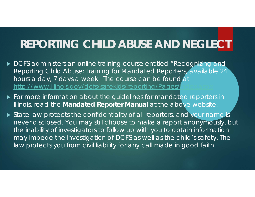# **REPORTING CHILD ABUSE AND NEGLECT**

- ▶ DCFS administers an online training course entitled "Recognizing and Reporting Child Abuse: Training for Mandated Reporters, available 24 hours a day, 7 days a week. The course can be found at http://www.illinois.gov/dcfs/safekids/reporting/Pages/j
- For more information about the guidelines for mandated reporters in Illinois, read the **Mandated Reporter Manual** at the above website.
- State law protects the confidentiality of all reporters, and your name is never disclosed. You may still choose to make a report anonymously, but the inability of investigators to follow up with you to obtain information may impede the investigation of DCFS as well as the child's safety. The law protects you from civil liability for any call made in good faith.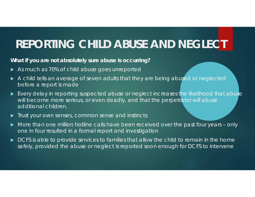# **REPORTING CHILD ABUSE AND NEGLECT**

#### **What if you are not absolutely sure abuse is occurring?**

- As much as 70% of child abuse goes unreported
- A child tells an average of seven adults that they are being abused or neglected before a report is made
- **E** Every delay in reporting suspected abuse or neglect increases the likelihood that abuse will become more serious, or even deadly, and that the perpetrator will abuse additional children.
- **Trust your own senses, common sense and instincts**
- More than one million hotline calls have been received over the past four years only one in four resulted in a formal report and investigation
- $\blacktriangleright$  DCFS is able to provide services to families that allow the child to remain in the home safely, provided the abuse or neglect is reported soon enough for DCFS to intervene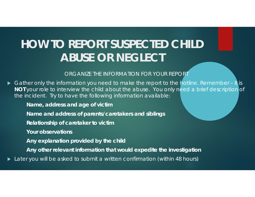# **HOW TO REPORT SUSPECTED CHILD ABUSE OR NEGLECT**

ORGANIZE THE INFORMATION FOR YOUR REPORT

▶ Gather only the information you need to make the report to the hotline. Remember – it is **NOT** your role to interview the child about the abuse. You only need a brief description of the incident. Try to have the following information available:

**Name, address and age of victim**

**Name and address of parents/caretakers and siblings**

**Relationship of caretaker to victim**

**Your observations**

**Any explanation provided by the child**

**Any other relevant information that would expedite the investigation**

Later you will be asked to submit a written confirmation (within 48 hours)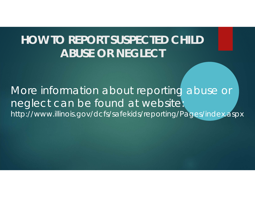# **HOW TO REPORT SUSPECTED CHILD ABUSE OR NEGLECT**

More information about reporting abuse or neglect can be found at website: http://www.illinois.gov/dcfs/safekids/reporting/Pages/index.aspx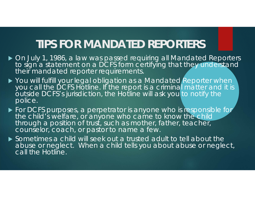### **TIPS FOR MANDATED REPORTERS**

- ▶ On July 1, 1986, a law was passed requiring all Mandated Reporters to sign a statement on a DCFS form certifying that they understand their mandated reporter requirements.
- ▶ You will fulfill your legal obligation as a Mandated Reporter when you call the DCFS Hotline. If the report is a criminal matter and it is outside DCFS's jurisdiction, the Hotline will ask you to notify the police.
- **For DCFS purposes, a perpetrator is anyone who is responsible for** the child's welfare, or anyone who came to know the child through a position of trust, such as mother, father, teacher, counselor, coach, or pastor to name a few.
- Sometimes a child will seek out a trusted adult to tell about the abuse or neglect. When a child tells you about abuse or neglect, call the Hotline.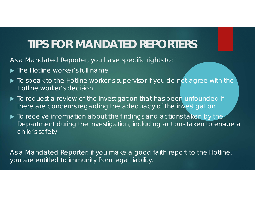# **TIPS FOR MANDATED REPORTERS**

As a Mandated Reporter, you have specific rights to:

- **The Hotline worker's full name**
- $\blacktriangleright$  To speak to the Hotline worker's supervisor if you do not agree with the Hotline worker's decision
- $\blacktriangleright$  To request a review of the investigation that has been unfounded if there are concerns regarding the adequacy of the investigation
- $\blacktriangleright$  To receive information about the findings and actions taken by the Department during the investigation, including actions taken to ensure a child's safety.

As a Mandated Reporter, if you make a good faith report to the Hotline, you are entitled to immunity from legal liability.